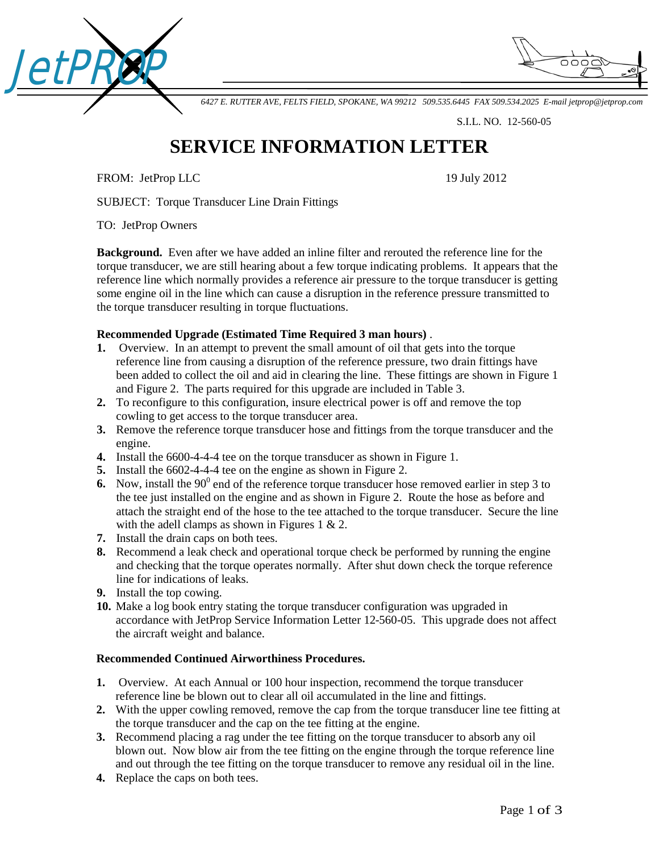



*6427 E. RUTTER AVE, FELTS FIELD, SPOKANE, WA 99212 509.535.6445 FAX 509.534.2025 E-mail [jetprop@jetprop.com](mailto:jetprop@jetprop.com)*

S.I.L. NO. 12-560-05

## **SERVICE INFORMATION LETTER**

FROM: JetProp LLC 19 July 2012

SUBJECT: Torque Transducer Line Drain Fittings

TO: JetProp Owners

**Background.** Even after we have added an inline filter and rerouted the reference line for the torque transducer, we are still hearing about a few torque indicating problems. It appears that the reference line which normally provides a reference air pressure to the torque transducer is getting some engine oil in the line which can cause a disruption in the reference pressure transmitted to the torque transducer resulting in torque fluctuations.

## **Recommended Upgrade (Estimated Time Required 3 man hours)** .

- **1.** Overview. In an attempt to prevent the small amount of oil that gets into the torque reference line from causing a disruption of the reference pressure, two drain fittings have been added to collect the oil and aid in clearing the line. These fittings are shown in Figure 1 and Figure 2. The parts required for this upgrade are included in Table 3.
- **2.** To reconfigure to this configuration, insure electrical power is off and remove the top cowling to get access to the torque transducer area.
- **3.** Remove the reference torque transducer hose and fittings from the torque transducer and the engine.
- **4.** Install the 6600-4-4-4 tee on the torque transducer as shown in Figure 1.
- **5.** Install the 6602-4-4-4 tee on the engine as shown in Figure 2.
- **6.** Now, install the  $90^\circ$  end of the reference torque transducer hose removed earlier in step 3 to the tee just installed on the engine and as shown in Figure 2. Route the hose as before and attach the straight end of the hose to the tee attached to the torque transducer. Secure the line with the adell clamps as shown in Figures 1 & 2.
- **7.** Install the drain caps on both tees.
- **8.** Recommend a leak check and operational torque check be performed by running the engine and checking that the torque operates normally. After shut down check the torque reference line for indications of leaks.
- **9.** Install the top cowing.
- **10.** Make a log book entry stating the torque transducer configuration was upgraded in accordance with JetProp Service Information Letter 12-560-05. This upgrade does not affect the aircraft weight and balance.

## **Recommended Continued Airworthiness Procedures.**

- **1.** Overview.At each Annual or 100 hour inspection, recommend the torque transducer reference line be blown out to clear all oil accumulated in the line and fittings.
- **2.** With the upper cowling removed, remove the cap from the torque transducer line tee fitting at the torque transducer and the cap on the tee fitting at the engine.
- **3.** Recommend placing a rag under the tee fitting on the torque transducer to absorb any oil blown out. Now blow air from the tee fitting on the engine through the torque reference line and out through the tee fitting on the torque transducer to remove any residual oil in the line.
- **4.** Replace the caps on both tees.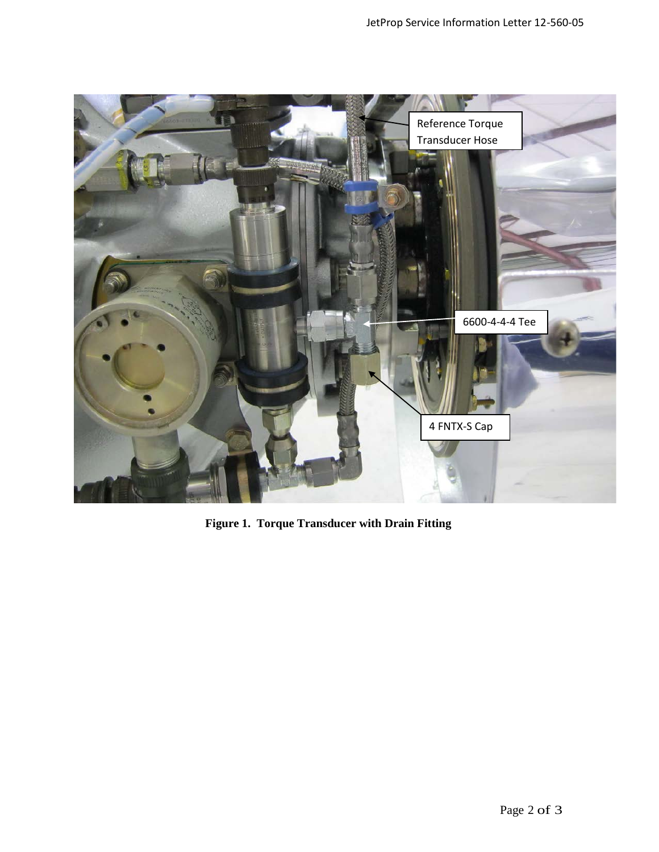

**Figure 1. Torque Transducer with Drain Fitting**